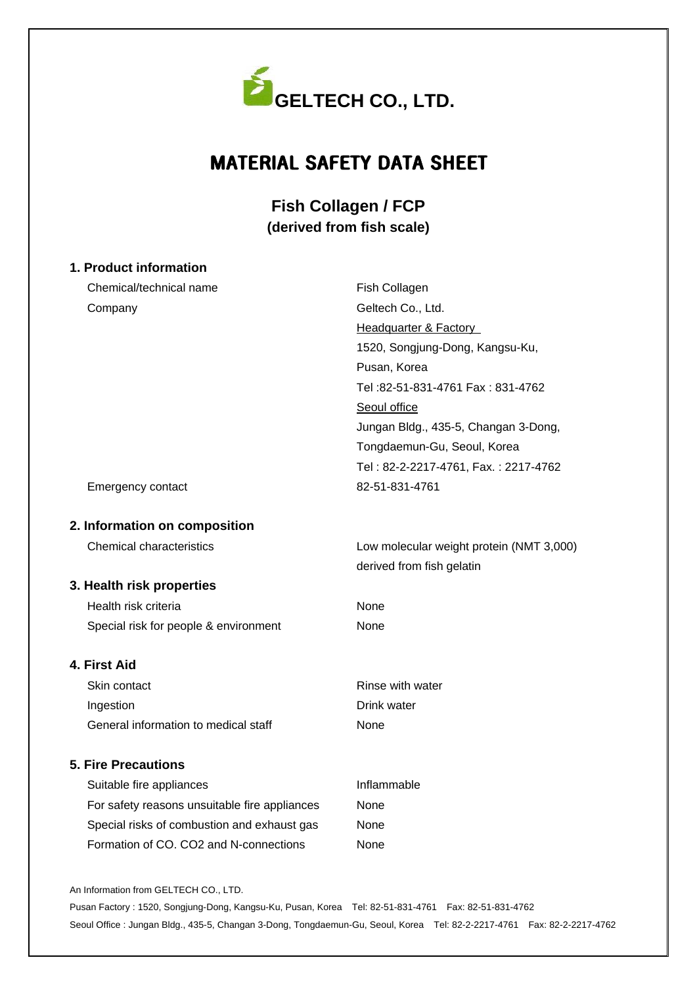

# MATERIAL SAFETY DATA SHEET

## **Fish Collagen / FCP (derived from fish scale)**

## **1. Product information** Chemical/technical name Company Emergency contact **2. Information on composition** Chemical characteristics **3. Health risk properties** Health risk criteria Special risk for people & environment **4. First Aid** Skin contact Ingestion General information to medical staff **5. Fire Precautions** Suitable fire appliances For safety reasons unsuitable fire appliances Special risks of combustion and exhaust gas Formation of CO. CO2 and N-connections Fish Collagen Geltech Co., Ltd. Headquarter & Factory 1520, Songjung-Dong, Kangsu-Ku, Pusan, Korea Tel :82-51-831-4761 Fax : 831-4762 Seoul office Jungan Bldg., 435-5, Changan 3-Dong, Tongdaemun-Gu, Seoul, Korea Tel : 82-2-2217-4761, Fax. : 2217-4762 82-51-831-4761 Low molecular weight protein (NMT 3,000) derived from fish gelatin None None Rinse with water Drink water None Inflammable None None None

An Information from GELTECH CO., LTD.

Pusan Factory : 1520, Songjung-Dong, Kangsu-Ku, Pusan, Korea Tel: 82-51-831-4761 Fax: 82-51-831-4762 Seoul Office : Jungan Bldg., 435-5, Changan 3-Dong, Tongdaemun-Gu, Seoul, Korea Tel: 82-2-2217-4761 Fax: 82-2-2217-4762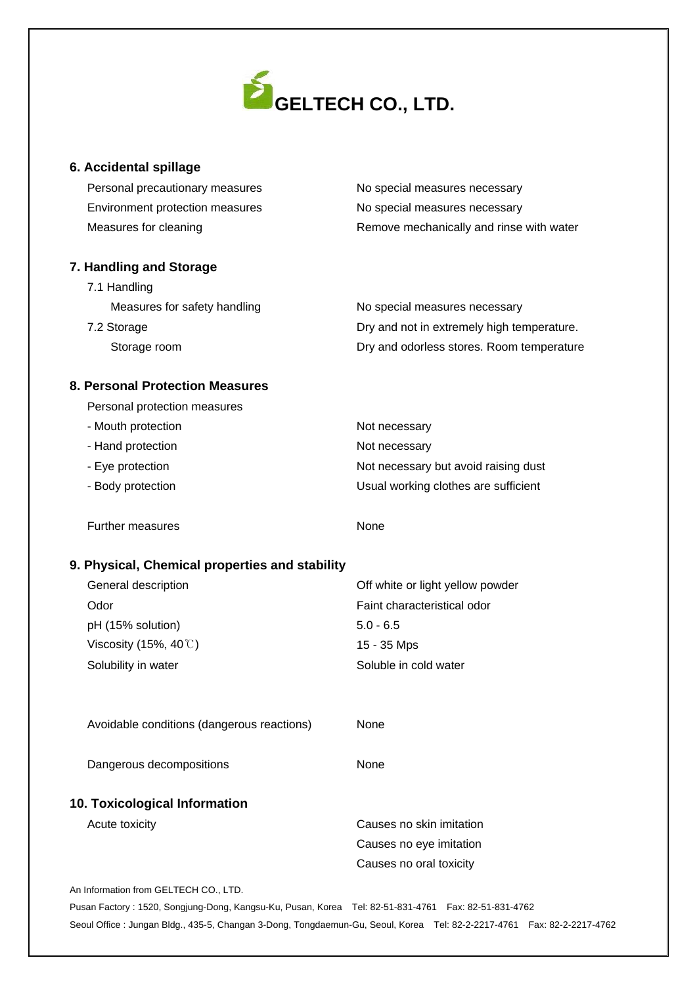

#### **6. Accidental spillage**

| Personal precautionary measures | No special measures necessary            |
|---------------------------------|------------------------------------------|
| Environment protection measures | No special measures necessary            |
| Measures for cleaning           | Remove mechanically and rinse with water |

## **7. Handling and Storage** 7.1 Handling

| Measures for safety handling | No special measures necessary              |
|------------------------------|--------------------------------------------|
| 7.2 Storage                  | Dry and not in extremely high temperature. |
| Storage room                 | Dry and odorless stores. Room temperature  |

## **8. Personal Protection Measures**

| Personal protection measures |
|------------------------------|
|------------------------------|

| - Mouth protection | Not necessary                        |
|--------------------|--------------------------------------|
| - Hand protection  | Not necessary                        |
| - Eye protection   | Not necessary but avoid raising dust |
| - Body protection  | Usual working clothes are sufficient |
|                    |                                      |

Further measures

None

## **9. Physical, Chemical properties and stability**

| General description             | Off white or light yellow powder |
|---------------------------------|----------------------------------|
| Odor                            | Faint characteristical odor      |
| pH (15% solution)               | $5.0 - 6.5$                      |
| Viscosity (15%, 40 $\degree$ C) | 15 - 35 Mps                      |
| Solubility in water             | Soluble in cold water            |
|                                 |                                  |

Avoidable conditions (dangerous reactions)

None

Dangerous decompositions

None

## **10. Toxicological Information**

Acute toxicity

Causes no skin imitation Causes no eye imitation Causes no oral toxicity

An Information from GELTECH CO., LTD.

Pusan Factory : 1520, Songjung-Dong, Kangsu-Ku, Pusan, Korea Tel: 82-51-831-4761 Fax: 82-51-831-4762 Seoul Office : Jungan Bldg., 435-5, Changan 3-Dong, Tongdaemun-Gu, Seoul, Korea Tel: 82-2-2217-4761 Fax: 82-2-2217-4762